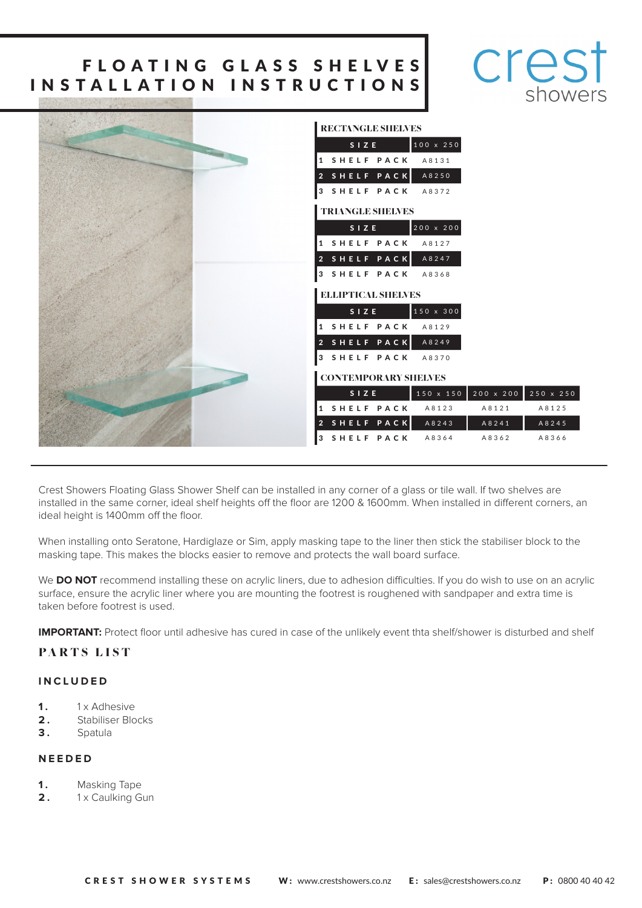# FLOATING GLASS SHELVES INSTALLATION INSTRUCTIONS



| <b>RECTANGLE SHELVES</b>                            |
|-----------------------------------------------------|
| 100 x 250<br>SIZE                                   |
| 1 SHELF PACK<br>A 8 1 3 1                           |
|                                                     |
| 2 SHELF PACK<br>A8250                               |
| 3 SHELF PACK<br>A8372                               |
| <b>TRIANGLE SHELVES</b>                             |
| 200 x 200<br>SIZE                                   |
| 1 SHELF PACK<br>A 8 1 2 7                           |
| 2 SHELF PACK<br>A8247                               |
| 3 SHELF PACK<br>A8368                               |
| <b>ELLIPTICAL SHELVES</b>                           |
| 150 x 300<br>SIZE                                   |
| 1 SHELF PACK<br>A8129                               |
| 2 SHELF PACK<br>A8249                               |
| 3 SHELF PACK<br>A8370                               |
| <b>CONTEMPORARY SHELVES</b>                         |
| 200 x 200 250 x 250<br>150 x 150<br>SIZE            |
| 1 SHELF PACK<br>A 8 1 2 3<br>A 8 1 2 5<br>A 8 1 2 1 |
| 2 SHELF PACK<br>A 8 2 4 5<br>A8243<br>A 8 2 4 1     |
| 3 SHELF PACK<br>A8366<br>A8364<br>A8362             |

Crest Showers Floating Glass Shower Shelf can be installed in any corner of a glass or tile wall. If two shelves are installed in the same corner, ideal shelf heights off the floor are 1200 & 1600mm. When installed in different corners, an ideal height is 1400mm off the floor.

When installing onto Seratone, Hardiglaze or Sim, apply masking tape to the liner then stick the stabiliser block to the masking tape. This makes the blocks easier to remove and protects the wall board surface.

We **DO NOT** recommend installing these on acrylic liners, due to adhesion difficulties. If you do wish to use on an acrylic surface, ensure the acrylic liner where you are mounting the footrest is roughened with sandpaper and extra time is taken before footrest is used.

**IMPORTANT:** Protect floor until adhesive has cured in case of the unlikely event thta shelf/shower is disturbed and shelf

#### PARTS LIST

#### **INCLUDED**

- **1.** 1 x Adhesive
- **2 .** Stabiliser Blocks
- **3 .** Spatula

#### **NEEDED**

- **1.** Masking Tape
- **2.** 1x Caulking Gun